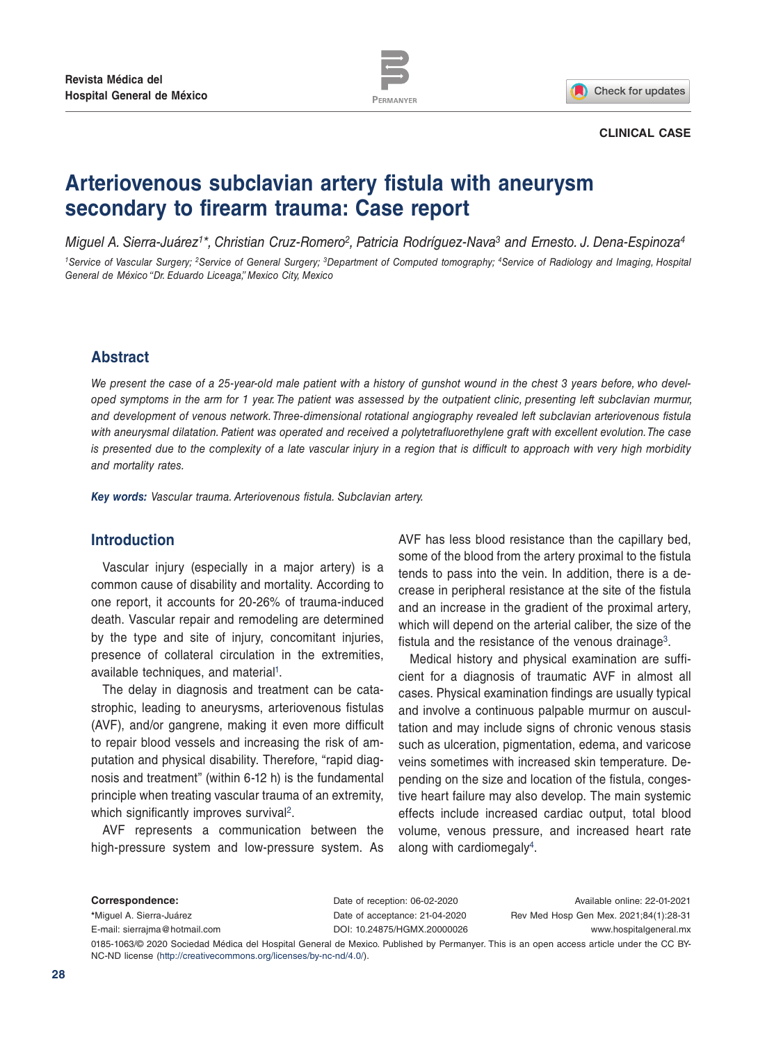

Check for updates

#### **CLINICAL CASE**

# **Arteriovenous subclavian artery fistula with aneurysm secondary to firearm trauma: Case report**

*Miguel A. Sierra-Juárez1\*, Christian Cruz-Romero2, Patricia Rodríguez-Nava3 and Ernesto. J. Dena-Espinoza4 1Service of Vascular Surgery; 2Service of General Surgery; 3Department of Computed tomography; 4Service of Radiology and Imaging, Hospital General de México "Dr. Eduardo Liceaga," Mexico City, Mexico*

# **Abstract**

*We present the case of a 25-year-old male patient with a history of gunshot wound in the chest 3 years before, who developed symptoms in the arm for 1 year. The patient was assessed by the outpatient clinic, presenting left subclavian murmur, and development of venous network. Three-dimensional rotational angiography revealed left subclavian arteriovenous fistula with aneurysmal dilatation. Patient was operated and received a polytetrafluorethylene graft with excellent evolution. The case is presented due to the complexity of a late vascular injury in a region that is difficult to approach with very high morbidity and mortality rates.*

*Key words: Vascular trauma. Arteriovenous fistula. Subclavian artery.*

# **Introduction**

Vascular injury (especially in a major artery) is a common cause of disability and mortality. According to one report, it accounts for 20-26% of trauma-induced death. Vascular repair and remodeling are determined by the type and site of injury, concomitant injuries, presence of collateral circulation in the extremities, available techniques, and material<sup>1</sup>.

The delay in diagnosis and treatment can be catastrophic, leading to aneurysms, arteriovenous fistulas (AVF), and/or gangrene, making it even more difficult to repair blood vessels and increasing the risk of amputation and physical disability. Therefore, "rapid diagnosis and treatment" (within 6-12 h) is the fundamental principle when treating vascular trauma of an extremity, which significantly improves survival<sup>2</sup>.

AVF represents a communication between the high-pressure system and low-pressure system. As AVF has less blood resistance than the capillary bed, some of the blood from the artery proximal to the fistula tends to pass into the vein. In addition, there is a decrease in peripheral resistance at the site of the fistula and an increase in the gradient of the proximal artery, which will depend on the arterial caliber, the size of the fistula and the resistance of the venous drainage<sup>3</sup>.

Medical history and physical examination are sufficient for a diagnosis of traumatic AVF in almost all cases. Physical examination findings are usually typical and involve a continuous palpable murmur on auscultation and may include signs of chronic venous stasis such as ulceration, pigmentation, edema, and varicose veins sometimes with increased skin temperature. Depending on the size and location of the fistula, congestive heart failure may also develop. The main systemic effects include increased cardiac output, total blood volume, venous pressure, and increased heart rate along with cardiomegaly4.

| Correspondence:                                                                                                                          | Date of reception: 06-02-2020  | Available online: 22-01-2021           |
|------------------------------------------------------------------------------------------------------------------------------------------|--------------------------------|----------------------------------------|
| *Miquel A. Sierra-Juárez                                                                                                                 | Date of acceptance: 21-04-2020 | Rev Med Hosp Gen Mex. 2021;84(1):28-31 |
| E-mail: sierraima@hotmail.com                                                                                                            | DOI: 10.24875/HGMX.20000026    | www.hospitalgeneral.mx                 |
| 0185-1063/© 2020 Sociedad Médica del Hospital General de Mexico. Published by Permanyer. This is an open access article under the CC BY- |                                |                                        |
| NC-ND license (http://creativecommons.org/licenses/by-nc-nd/4.0/).                                                                       |                                |                                        |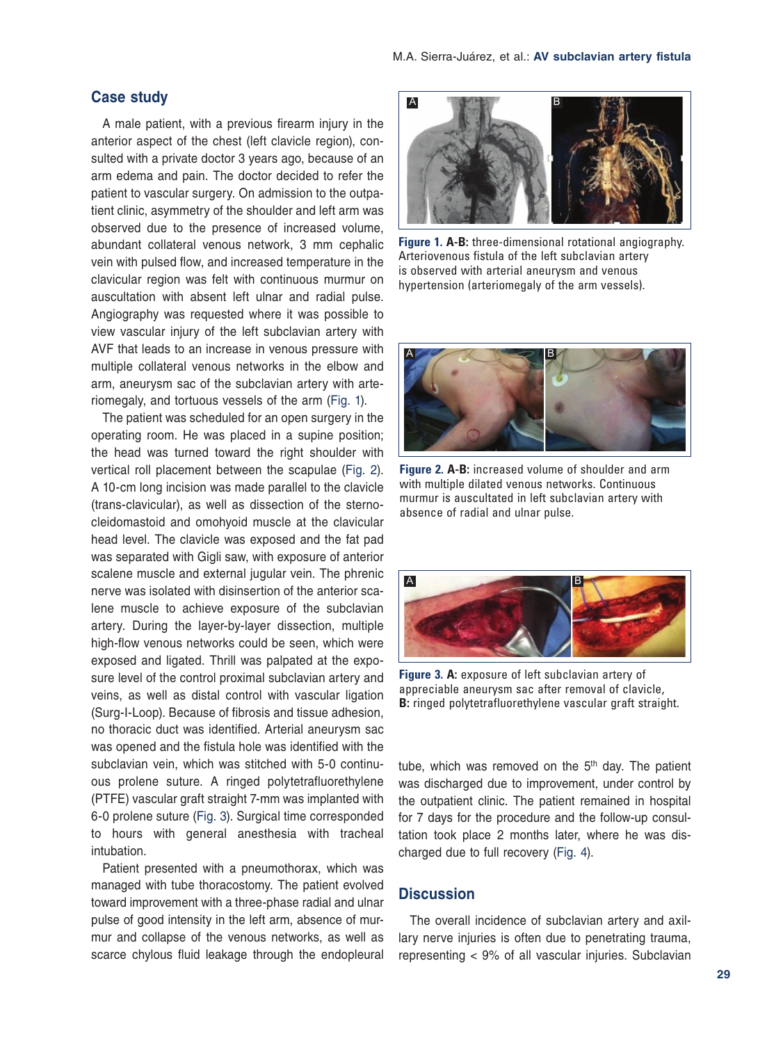## **Case study**

A male patient, with a previous firearm injury in the anterior aspect of the chest (left clavicle region), consulted with a private doctor 3 years ago, because of an arm edema and pain. The doctor decided to refer the patient to vascular surgery. On admission to the outpatient clinic, asymmetry of the shoulder and left arm was observed due to the presence of increased volume, abundant collateral venous network, 3 mm cephalic vein with pulsed flow, and increased temperature in the clavicular region was felt with continuous murmur on auscultation with absent left ulnar and radial pulse. Angiography was requested where it was possible to view vascular injury of the left subclavian artery with AVF that leads to an increase in venous pressure with multiple collateral venous networks in the elbow and arm, aneurysm sac of the subclavian artery with arteriomegaly, and tortuous vessels of the arm (Fig. 1).

The patient was scheduled for an open surgery in the operating room. He was placed in a supine position; the head was turned toward the right shoulder with vertical roll placement between the scapulae (Fig. 2). A 10-cm long incision was made parallel to the clavicle (trans-clavicular), as well as dissection of the sternocleidomastoid and omohyoid muscle at the clavicular head level. The clavicle was exposed and the fat pad was separated with Gigli saw, with exposure of anterior scalene muscle and external jugular vein. The phrenic nerve was isolated with disinsertion of the anterior scalene muscle to achieve exposure of the subclavian artery. During the layer-by-layer dissection, multiple high-flow venous networks could be seen, which were exposed and ligated. Thrill was palpated at the exposure level of the control proximal subclavian artery and veins, as well as distal control with vascular ligation (Surg-I-Loop). Because of fibrosis and tissue adhesion, no thoracic duct was identified. Arterial aneurysm sac was opened and the fistula hole was identified with the subclavian vein, which was stitched with 5-0 continuous prolene suture. A ringed polytetrafluorethylene (PTFE) vascular graft straight 7-mm was implanted with 6-0 prolene suture (Fig. 3). Surgical time corresponded to hours with general anesthesia with tracheal intubation.

Patient presented with a pneumothorax, which was managed with tube thoracostomy. The patient evolved toward improvement with a three-phase radial and ulnar pulse of good intensity in the left arm, absence of murmur and collapse of the venous networks, as well as scarce chylous fluid leakage through the endopleural



**Figure 1. A-B:** three-dimensional rotational angiography. Arteriovenous fistula of the left subclavian artery is observed with arterial aneurysm and venous hypertension (arteriomegaly of the arm vessels).



**Figure 2. A-B:** increased volume of shoulder and arm with multiple dilated venous networks. Continuous murmur is auscultated in left subclavian artery with absence of radial and ulnar pulse.



**Figure 3. A:** exposure of left subclavian artery of appreciable aneurysm sac after removal of clavicle, **B:** ringed polytetrafluorethylene vascular graft straight.

tube, which was removed on the  $5<sup>th</sup>$  day. The patient was discharged due to improvement, under control by the outpatient clinic. The patient remained in hospital for 7 days for the procedure and the follow-up consultation took place 2 months later, where he was discharged due to full recovery (Fig. 4).

#### **Discussion**

The overall incidence of subclavian artery and axillary nerve injuries is often due to penetrating trauma, representing < 9% of all vascular injuries. Subclavian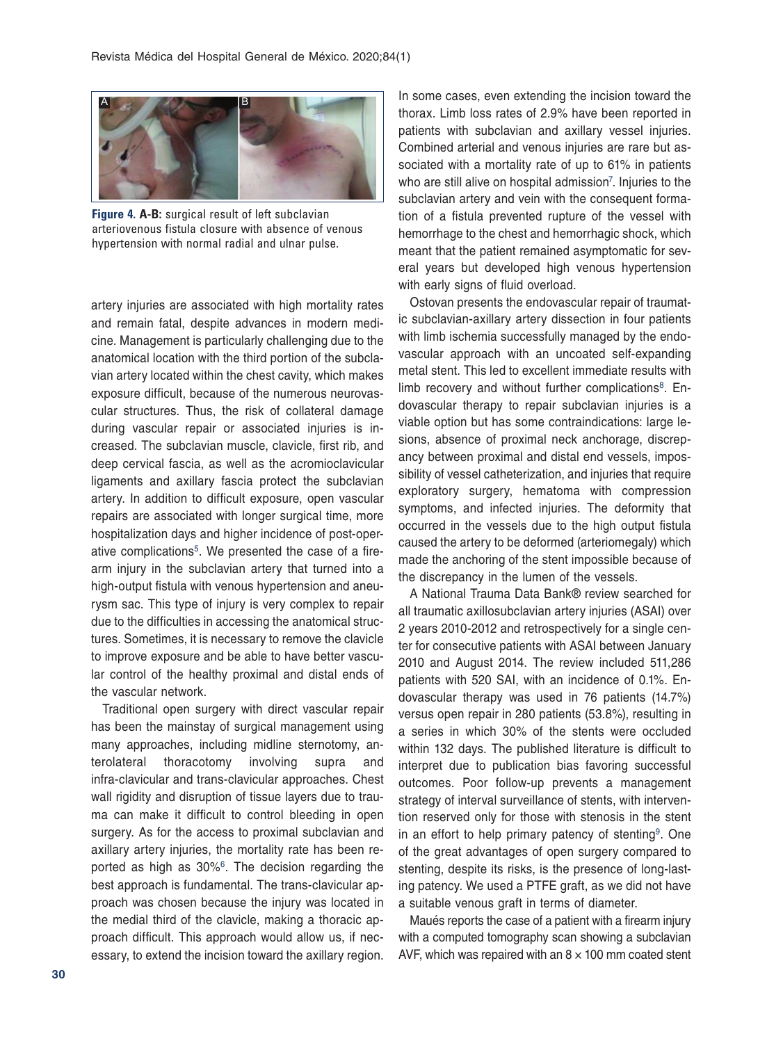

**Figure 4. A-B:** surgical result of left subclavian arteriovenous fistula closure with absence of venous hypertension with normal radial and ulnar pulse.

artery injuries are associated with high mortality rates and remain fatal, despite advances in modern medicine. Management is particularly challenging due to the anatomical location with the third portion of the subclavian artery located within the chest cavity, which makes exposure difficult, because of the numerous neurovascular structures. Thus, the risk of collateral damage during vascular repair or associated injuries is increased. The subclavian muscle, clavicle, first rib, and deep cervical fascia, as well as the acromioclavicular ligaments and axillary fascia protect the subclavian artery. In addition to difficult exposure, open vascular repairs are associated with longer surgical time, more hospitalization days and higher incidence of post-operative complications<sup>5</sup>. We presented the case of a firearm injury in the subclavian artery that turned into a high-output fistula with venous hypertension and aneurysm sac. This type of injury is very complex to repair due to the difficulties in accessing the anatomical structures. Sometimes, it is necessary to remove the clavicle to improve exposure and be able to have better vascular control of the healthy proximal and distal ends of the vascular network.

Traditional open surgery with direct vascular repair has been the mainstay of surgical management using many approaches, including midline sternotomy, anterolateral thoracotomy involving supra and infra-clavicular and trans-clavicular approaches. Chest wall rigidity and disruption of tissue layers due to trauma can make it difficult to control bleeding in open surgery. As for the access to proximal subclavian and axillary artery injuries, the mortality rate has been reported as high as 30%<sup>6</sup>. The decision regarding the best approach is fundamental. The trans-clavicular approach was chosen because the injury was located in the medial third of the clavicle, making a thoracic approach difficult. This approach would allow us, if necessary, to extend the incision toward the axillary region. In some cases, even extending the incision toward the thorax. Limb loss rates of 2.9% have been reported in patients with subclavian and axillary vessel injuries. Combined arterial and venous injuries are rare but associated with a mortality rate of up to 61% in patients who are still alive on hospital admission<sup>7</sup>. Injuries to the subclavian artery and vein with the consequent formation of a fistula prevented rupture of the vessel with hemorrhage to the chest and hemorrhagic shock, which meant that the patient remained asymptomatic for several years but developed high venous hypertension with early signs of fluid overload.

Ostovan presents the endovascular repair of traumatic subclavian-axillary artery dissection in four patients with limb ischemia successfully managed by the endovascular approach with an uncoated self-expanding metal stent. This led to excellent immediate results with limb recovery and without further complications<sup>8</sup>. Endovascular therapy to repair subclavian injuries is a viable option but has some contraindications: large lesions, absence of proximal neck anchorage, discrepancy between proximal and distal end vessels, impossibility of vessel catheterization, and injuries that require exploratory surgery, hematoma with compression symptoms, and infected injuries. The deformity that occurred in the vessels due to the high output fistula caused the artery to be deformed (arteriomegaly) which made the anchoring of the stent impossible because of the discrepancy in the lumen of the vessels.

A National Trauma Data Bank® review searched for all traumatic axillosubclavian artery injuries (ASAI) over 2 years 2010-2012 and retrospectively for a single center for consecutive patients with ASAI between January 2010 and August 2014. The review included 511,286 patients with 520 SAI, with an incidence of 0.1%. Endovascular therapy was used in 76 patients (14.7%) versus open repair in 280 patients (53.8%), resulting in a series in which 30% of the stents were occluded within 132 days. The published literature is difficult to interpret due to publication bias favoring successful outcomes. Poor follow-up prevents a management strategy of interval surveillance of stents, with intervention reserved only for those with stenosis in the stent in an effort to help primary patency of stenting<sup>9</sup>. One of the great advantages of open surgery compared to stenting, despite its risks, is the presence of long-lasting patency. We used a PTFE graft, as we did not have a suitable venous graft in terms of diameter.

Maués reports the case of a patient with a firearm injury with a computed tomography scan showing a subclavian AVF, which was repaired with an  $8 \times 100$  mm coated stent